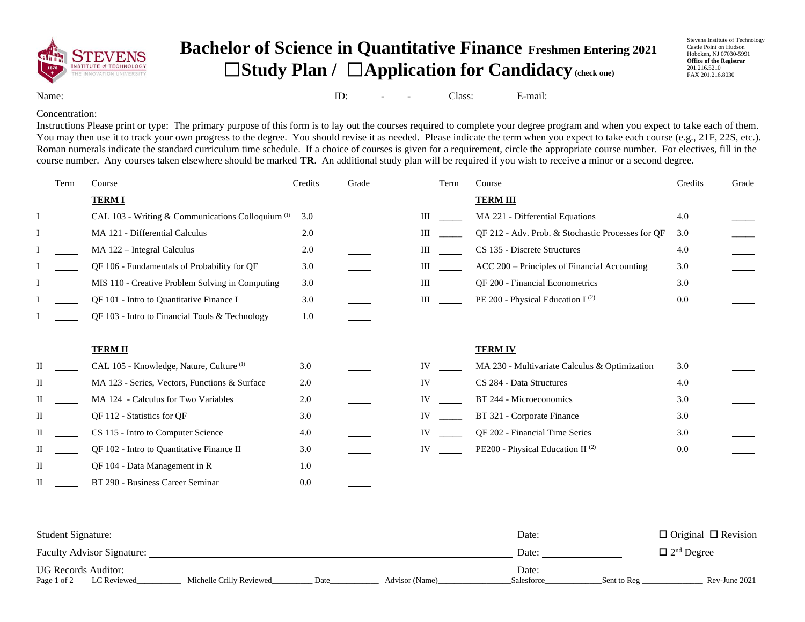

## **Bachelor of Science in Quantitative Finance Freshmen Entering 2021** ☐**Study Plan /** ☐**Application for Candidacy(check one)**

Stevens Institute of Technology Castle Point on Hudson Hoboken, NJ 07030-5991 **Office of the Registrar** 201.216.5210 FAX 201.216.8030

Name: ID: - - Class: E-mail:

## Concentration:

Instructions Please print or type: The primary purpose of this form is to lay out the courses required to complete your degree program and when you expect to take each of them. You may then use it to track your own progress to the degree. You should revise it as needed. Please indicate the term when you expect to take each course (e.g., 21F, 22S, etc.). Roman numerals indicate the standard curriculum time schedule. If a choice of courses is given for a requirement, circle the appropriate course number. For electives, fill in the course number. Any courses taken elsewhere should be marked **TR**. An additional study plan will be required if you wish to receive a minor or a second degree.

|   | Term | Course                                                       | Credits | Grade | Term | Course                                            | Credits | Grade |
|---|------|--------------------------------------------------------------|---------|-------|------|---------------------------------------------------|---------|-------|
|   |      | <b>TERMI</b>                                                 |         |       |      | <b>TERM III</b>                                   |         |       |
|   |      | CAL 103 - Writing & Communications Colloquium <sup>(1)</sup> | 3.0     |       | Ш    | MA 221 - Differential Equations                   | 4.0     |       |
|   |      | MA 121 - Differential Calculus                               | 2.0     |       | Ш    | QF 212 - Adv. Prob. & Stochastic Processes for QF | 3.0     |       |
|   |      | MA 122 - Integral Calculus                                   | 2.0     |       | Ш    | CS 135 - Discrete Structures                      | 4.0     |       |
|   |      | QF 106 - Fundamentals of Probability for QF                  | 3.0     |       | III  | ACC 200 – Principles of Financial Accounting      | 3.0     |       |
|   |      | MIS 110 - Creative Problem Solving in Computing              | 3.0     |       | Ш    | QF 200 - Financial Econometrics                   | 3.0     |       |
|   |      | QF 101 - Intro to Quantitative Finance I                     | 3.0     |       | Ш    | PE 200 - Physical Education I <sup>(2)</sup>      | 0.0     |       |
|   |      | QF 103 - Intro to Financial Tools & Technology               | 1.0     |       |      |                                                   |         |       |
|   |      |                                                              |         |       |      |                                                   |         |       |
|   |      | <b>TERM II</b>                                               |         |       |      | <b>TERM IV</b>                                    |         |       |
| П |      | CAL 105 - Knowledge, Nature, Culture <sup>(1)</sup>          | 3.0     |       | IV   | MA 230 - Multivariate Calculus & Optimization     | 3.0     |       |
| П |      | MA 123 - Series, Vectors, Functions & Surface                | 2.0     |       | IV   | CS 284 - Data Structures                          | 4.0     |       |
| П |      | MA 124 - Calculus for Two Variables                          | 2.0     |       | IV   | BT 244 - Microeconomics                           | 3.0     |       |
| П |      | QF 112 - Statistics for QF                                   | 3.0     |       | IV   | BT 321 - Corporate Finance                        | 3.0     |       |
| П |      | CS 115 - Intro to Computer Science                           | 4.0     |       | IV   | QF 202 - Financial Time Series                    | 3.0     |       |
| П |      | QF 102 - Intro to Quantitative Finance II                    | 3.0     |       | IV   | PE200 - Physical Education II <sup>(2)</sup>      | 0.0     |       |
| П |      | QF 104 - Data Management in R                                | 1.0     |       |      |                                                   |         |       |
| П |      | BT 290 - Business Career Seminar                             | 0.0     |       |      |                                                   |         |       |

| Student Signature:                |                          |       |                | Date:                         |             | $\Box$ Original $\Box$ Revision |
|-----------------------------------|--------------------------|-------|----------------|-------------------------------|-------------|---------------------------------|
| <b>Faculty Advisor Signature:</b> |                          | Date: |                | $\Box$ 2 <sup>nd</sup> Degree |             |                                 |
| <b>UG Records Auditor:</b>        |                          |       |                | Date:                         |             |                                 |
| Page 1 of 2<br>LC Reviewed        | Michelle Crilly Reviewed | Date  | Advisor (Name) | Salesforce                    | Sent to Reg | Rev-June 2021                   |